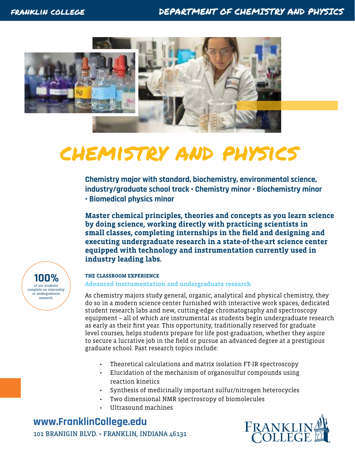

# chemistry and physics

**Chemistry major with standard, biochemistry, environmental science, industry/graduate school track • Chemistry minor • Biochemistry minor • Biomedical physics minor**

**Master chemical principles, theories and concepts as you learn science by doing science, working directly with practicing scientists in small classes, completing internships in the field and designing and executing undergraduate research in a state-of-the-art science center equipped with technology and instrumentation currently used in industry leading labs.** 

of our students complete an internship or undergraduate research. **100%**

# **THE CLASSROOM EXPERIENCE**

### **Advanced instrumentation and undergraduate research**

As chemistry majors study general, organic, analytical and physical chemistry, they do so in a modern science center furnished with interactive work spaces, dedicated student research labs and new, cutting-edge chromatography and spectroscopy equipment – all of which are instrumental as students begin undergraduate research as early as their first year. This opportunity, traditionally reserved for graduate level courses, helps students prepare for life post-graduation, whether they aspire to secure a lucrative job in the field or pursue an advanced degree at a prestigious graduate school. Past research topics include:

- Theoretical calculations and matrix isolation FT-IR spectroscopy
- Elucidation of the mechanism of organosulfur compounds using reaction kinetics
- Synthesis of medicinally important sulfur/nitrogen heterocycles
- Two dimensional NMR spectroscopy of biomolecules
- Ultrasound machines

**www[.FranklinCollege.edu](http://www.franklincollege.edu)** 101 BRANIGIN BLVD. • FRANKLIN, INDIANA 46131